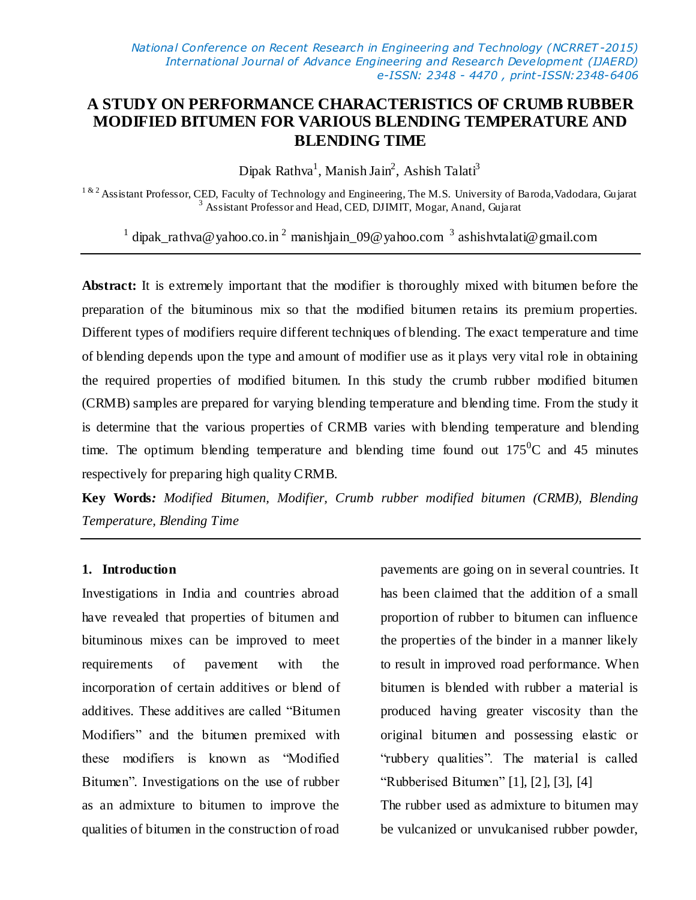# **A STUDY ON PERFORMANCE CHARACTERISTICS OF CRUMB RUBBER MODIFIED BITUMEN FOR VARIOUS BLENDING TEMPERATURE AND BLENDING TIME**

Dipak Rathva<sup>1</sup>, Manish Jain<sup>2</sup>, Ashish Talati<sup>3</sup>

<sup>1 & 2</sup> Assistant Professor, CED, Faculty of Technology and Engineering, The M.S. University of Baroda, Vadodara, Gujarat <sup>3</sup> Assistant Professor and Head, CED, DJIMIT, Mogar, Anand, Gujarat

<sup>1</sup> dipak\_rathva@yahoo.co.in<sup>2</sup> manishjain\_09@yahoo.com<sup>3</sup> ashishvtalati@gmail.com

**Abstract:** It is extremely important that the modifier is thoroughly mixed with bitumen before the preparation of the bituminous mix so that the modified bitumen retains its premium properties. Different types of modifiers require different techniques of blending. The exact temperature and time of blending depends upon the type and amount of modifier use as it plays very vital role in obtaining the required properties of modified bitumen. In this study the crumb rubber modified bitumen (CRMB) samples are prepared for varying blending temperature and blending time. From the study it is determine that the various properties of CRMB varies with blending temperature and blending time. The optimum blending temperature and blending time found out  $175^{\circ}$ C and 45 minutes respectively for preparing high quality CRMB.

**Key Words***: Modified Bitumen, Modifier, Crumb rubber modified bitumen (CRMB), Blending Temperature, Blending Time*

#### **1. Introduction**

Investigations in India and countries abroad have revealed that properties of bitumen and bituminous mixes can be improved to meet requirements of pavement with the incorporation of certain additives or blend of additives. These additives are called "Bitumen Modifiers" and the bitumen premixed with these modifiers is known as "Modified Bitumen". Investigations on the use of rubber as an admixture to bitumen to improve the qualities of bitumen in the construction of road

pavements are going on in several countries. It has been claimed that the addition of a small proportion of rubber to bitumen can influence the properties of the binder in a manner likely to result in improved road performance. When bitumen is blended with rubber a material is produced having greater viscosity than the original bitumen and possessing elastic or "rubbery qualities". The material is called "Rubberised Bitumen" [1], [2], [3], [4] The rubber used as admixture to bitumen may

be vulcanized or unvulcanised rubber powder,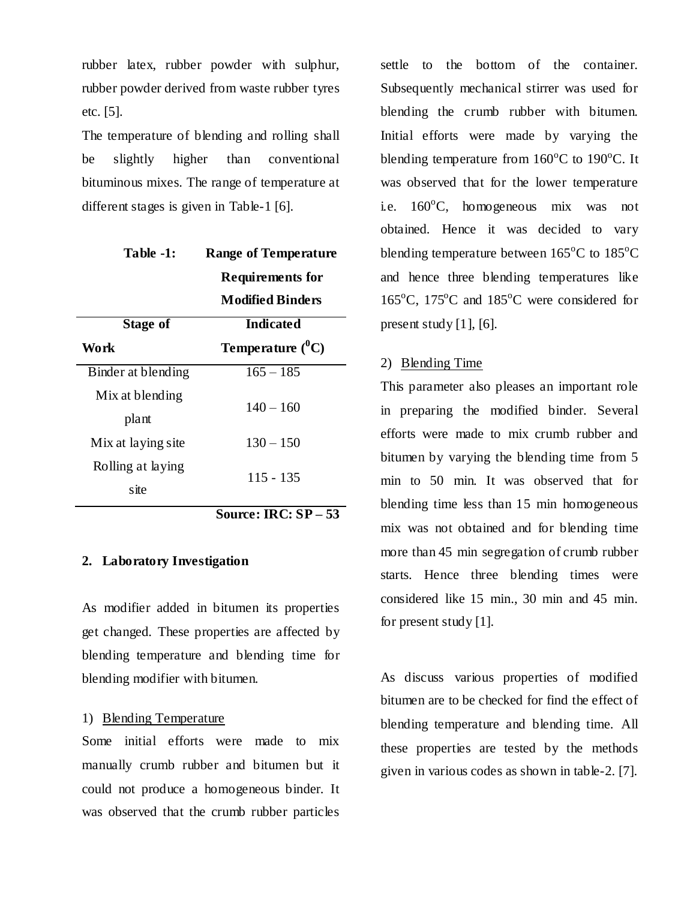rubber latex, rubber powder with sulphur, rubber powder derived from waste rubber tyres etc. [5].

The temperature of blending and rolling shall be slightly higher than conventional bituminous mixes. The range of temperature at different stages is given in Table-1 [6].

| Table -1:          | <b>Range of Temperature</b> |  |  |  |  |  |
|--------------------|-----------------------------|--|--|--|--|--|
|                    | <b>Requirements for</b>     |  |  |  |  |  |
|                    | Modified Binders            |  |  |  |  |  |
| Stage of           | <b>Indicated</b>            |  |  |  |  |  |
| Work               | Temperature $(^0C)$         |  |  |  |  |  |
| Binder at blending | $165 - 185$                 |  |  |  |  |  |
| Mix at blending    |                             |  |  |  |  |  |
| plant              | $140 - 160$                 |  |  |  |  |  |
| Mix at laying site | $130 - 150$                 |  |  |  |  |  |
| Rolling at laying  |                             |  |  |  |  |  |
| site               |                             |  |  |  |  |  |
|                    | 115 - 135                   |  |  |  |  |  |

**Source: IRC: SP – 53** 

#### **2. Laboratory Investigation**

As modifier added in bitumen its properties get changed. These properties are affected by blending temperature and blending time for blending modifier with bitumen.

## 1) Blending Temperature

Some initial efforts were made to mix manually crumb rubber and bitumen but it could not produce a homogeneous binder. It was observed that the crumb rubber particles

settle to the bottom of the container. Subsequently mechanical stirrer was used for blending the crumb rubber with bitumen. Initial efforts were made by varying the blending temperature from  $160^{\circ}$ C to  $190^{\circ}$ C. It was observed that for the lower temperature i.e.  $160^{\circ}$ C, homogeneous mix was not obtained. Hence it was decided to vary blending temperature between  $165^{\circ}$ C to  $185^{\circ}$ C and hence three blending temperatures like  $165^{\circ}$ C,  $175^{\circ}$ C and  $185^{\circ}$ C were considered for present study  $[1]$ ,  $[6]$ .

#### 2) Blending Time

This parameter also pleases an important role in preparing the modified binder. Several efforts were made to mix crumb rubber and bitumen by varying the blending time from 5 min to 50 min. It was observed that for blending time less than 15 min homogeneous mix was not obtained and for blending time more than 45 min segregation of crumb rubber starts. Hence three blending times were considered like 15 min., 30 min and 45 min. for present study [1].

As discuss various properties of modified bitumen are to be checked for find the effect of blending temperature and blending time. All these properties are tested by the methods given in various codes as shown in table-2. [7].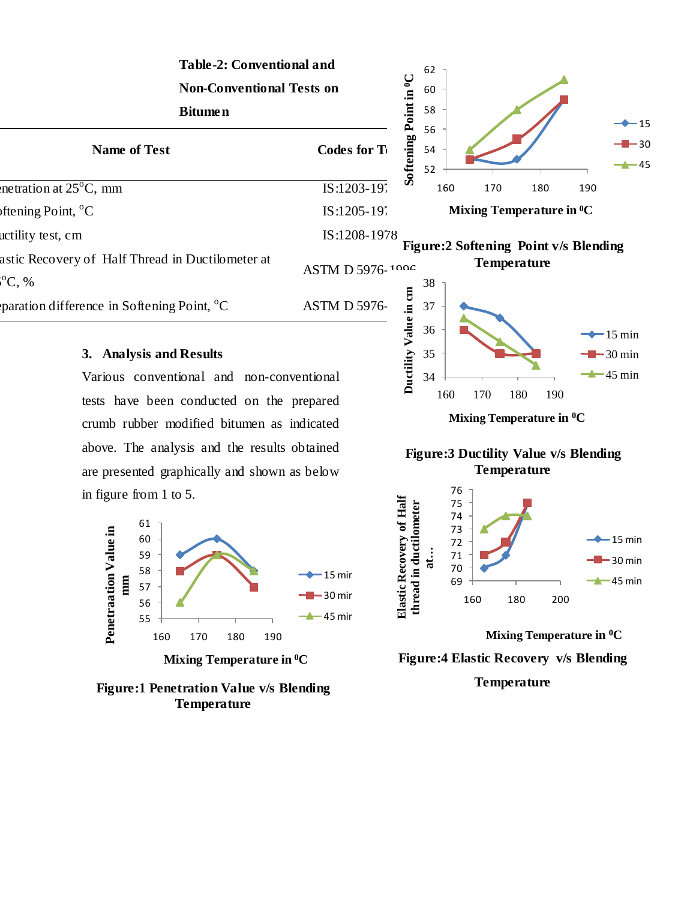| <b>Table-2: Conventional and</b>                                   |                     |                                   | 62             |                                              |     |     |                               |  |
|--------------------------------------------------------------------|---------------------|-----------------------------------|----------------|----------------------------------------------|-----|-----|-------------------------------|--|
| <b>Non-Conventional Tests on</b><br><b>Bitumen</b>                 |                     |                                   | 60             |                                              |     |     |                               |  |
|                                                                    |                     |                                   | 58             |                                              |     |     | $\rightarrow$ 15              |  |
| <b>Name of Test</b>                                                | Codes for T         | Softening Point in <sup>0</sup> C | 56<br>54<br>52 |                                              |     |     | $-2$ – 30<br>$\rightarrow$ 45 |  |
| netration at $25^{\circ}$ C, mm                                    | IS:1203-197         |                                   | 160            | 170                                          | 180 | 190 |                               |  |
| Iftening Point, $^{\circ}C$                                        | IS:1205-19          |                                   |                | Mixing Temperature in <sup>0</sup> C         |     |     |                               |  |
| actility test, cm                                                  | IS:1208-1978        |                                   |                | <b>Figure:2 Softening Point v/s Blending</b> |     |     |                               |  |
| astic Recovery of Half Thread in Ductilometer at<br>${}^{10}C, $ % | ASTM D 5976-1006    |                                   | 38             | <b>Temperature</b>                           |     |     |                               |  |
| paration difference in Softening Point, $^{\circ}C$                | <b>ASTM D 5976-</b> | due in cm                         | 37<br>36       |                                              |     |     | $-15 \text{ min}$             |  |

## **3. Analysis and Results**

Various conventional and non-conventional tests have been conducted on the prepared crumb rubber modified bitumen as indicated above. The analysis and the results obtained are presented graphically and shown as below in figure from 1 to 5.



#### **Figure:1 Penetration Value v/s Blending Temperature**



15 min



**Mixing Temperature in 0C**

**Figure:4 Elastic Recovery v/s Blending**

**Temperature**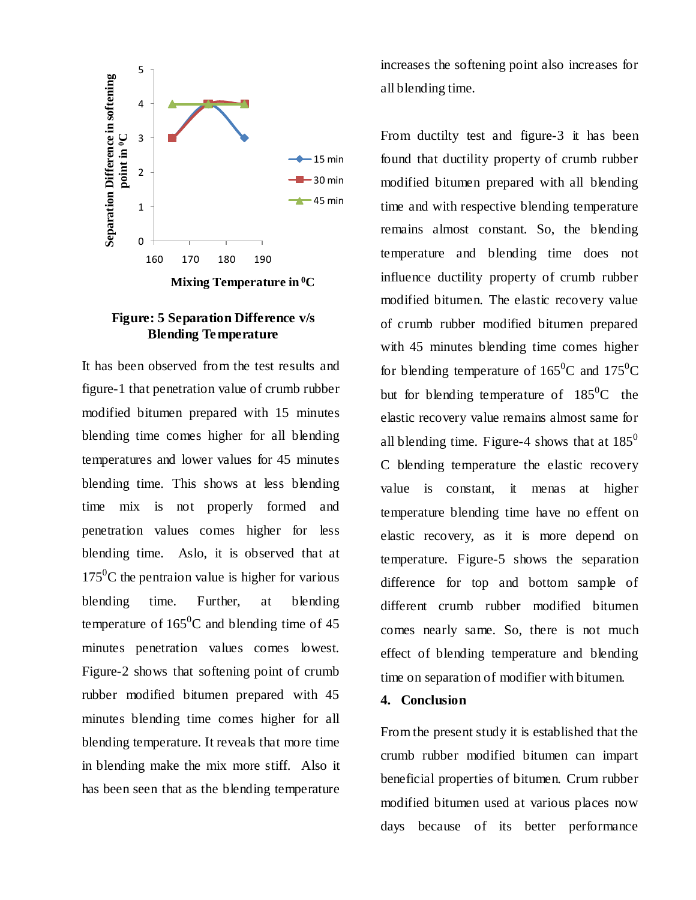

### **Figure: 5 Separation Difference v/s Blending Temperature**

It has been observed from the test results and figure-1 that penetration value of crumb rubber modified bitumen prepared with 15 minutes blending time comes higher for all blending temperatures and lower values for 45 minutes blending time. This shows at less blending time mix is not properly formed and penetration values comes higher for less blending time. Aslo, it is observed that at  $175^{\circ}$ C the pentraion value is higher for various blending time. Further, at blending temperature of  $165^{\circ}$ C and blending time of 45 minutes penetration values comes lowest. Figure-2 shows that softening point of crumb rubber modified bitumen prepared with 45 minutes blending time comes higher for all blending temperature. It reveals that more time in blending make the mix more stiff. Also it has been seen that as the blending temperature

increases the softening point also increases for all blending time.

From ductilty test and figure-3 it has been found that ductility property of crumb rubber modified bitumen prepared with all blending time and with respective blending temperature remains almost constant. So, the blending temperature and blending time does not influence ductility property of crumb rubber modified bitumen. The elastic recovery value of crumb rubber modified bitumen prepared with 45 minutes blending time comes higher for blending temperature of  $165^{\circ}$ C and  $175^{\circ}$ C but for blending temperature of  $185^{\circ}$ C the elastic recovery value remains almost same for all blending time. Figure-4 shows that at  $185^{\circ}$ C blending temperature the elastic recovery value is constant, it menas at higher temperature blending time have no effent on elastic recovery, as it is more depend on temperature. Figure-5 shows the separation difference for top and bottom sample of different crumb rubber modified bitumen comes nearly same. So, there is not much effect of blending temperature and blending time on separation of modifier with bitumen.

# **4. Conclusion**

From the present study it is established that the crumb rubber modified bitumen can impart beneficial properties of bitumen. Crum rubber modified bitumen used at various places now days because of its better performance